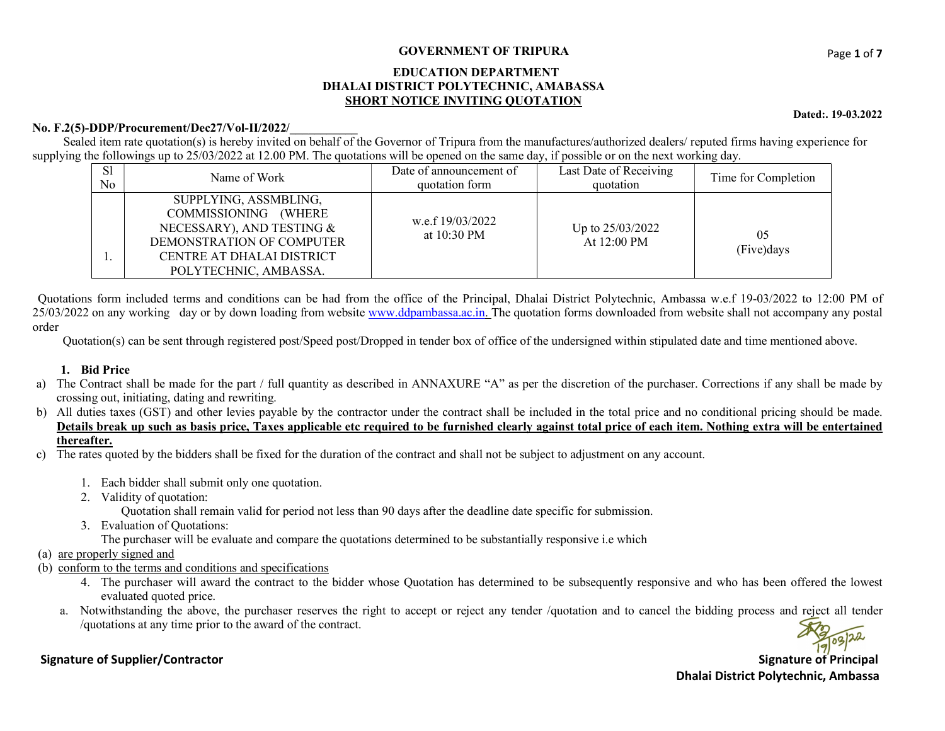# GOVERNMENT OF TRIPURA<br>
Page 1 of 7

#### EDUCATION DEPARTMENT DHALAI DISTRICT POLYTECHNIC, AMABASSA SHORT NOTICE INVITING QUOTATION

#### No. F.2(5)-DDP/Procurement/Dec27/Vol-II/2022/

Sealed item rate quotation(s) is hereby invited on behalf of the Governor of Tripura from the manufactures/authorized dealers/ reputed firms having experience for supplying the followings up to 25/03/2022 at 12.00 PM. The quotations will be opened on the same day, if possible or on the next working day.

| S1<br>No | Name of Work                                                                                                                                                  | Date of announcement of<br>quotation form | Last Date of Receiving<br>quotation       | Time for Completion |
|----------|---------------------------------------------------------------------------------------------------------------------------------------------------------------|-------------------------------------------|-------------------------------------------|---------------------|
|          | SUPPLYING, ASSMBLING,<br>COMMISSIONING (WHERE<br>NECESSARY), AND TESTING &<br>DEMONSTRATION OF COMPUTER<br>CENTRE AT DHALAI DISTRICT<br>POLYTECHNIC, AMBASSA. | w.e.f 19/03/2022<br>at $10:30 \text{ PM}$ | Up to 25/03/2022<br>At $12:00 \text{ PM}$ | 05<br>(Five)days    |

 Quotations form included terms and conditions can be had from the office of the Principal, Dhalai District Polytechnic, Ambassa w.e.f 19-03/2022 to 12:00 PM of 25/03/2022 on any working day or by down loading from website www.ddpambassa.ac.in. The quotation forms downloaded from website shall not accompany any postal order

Quotation(s) can be sent through registered post/Speed post/Dropped in tender box of office of the undersigned within stipulated date and time mentioned above.

### 1. Bid Price

- a) The Contract shall be made for the part / full quantity as described in ANNAXURE "A" as per the discretion of the purchaser. Corrections if any shall be made by crossing out, initiating, dating and rewriting.
- b) All duties taxes (GST) and other levies payable by the contractor under the contract shall be included in the total price and no conditional pricing should be made. Details break up such as basis price, Taxes applicable etc required to be furnished clearly against total price of each item. Nothing extra will be entertained thereafter.
- c) The rates quoted by the bidders shall be fixed for the duration of the contract and shall not be subject to adjustment on any account.
	- 1. Each bidder shall submit only one quotation.
	- 2. Validity of quotation:
		- Quotation shall remain valid for period not less than 90 days after the deadline date specific for submission.
	- 3. Evaluation of Quotations:
		- The purchaser will be evaluate and compare the quotations determined to be substantially responsive i.e which
- (a) are properly signed and
- (b) conform to the terms and conditions and specifications
	- 4. The purchaser will award the contract to the bidder whose Quotation has determined to be subsequently responsive and who has been offered the lowest evaluated quoted price.
	- a. Notwithstanding the above, the purchaser reserves the right to accept or reject any tender /quotation and to cancel the bidding process and reject all tender /quotations at any time prior to the award of the contract.

# Signature of Supplier/Contractor and Signature of Principal

Dhalai District Polytechnic, Ambassa

#### Dated:. 19-03.2022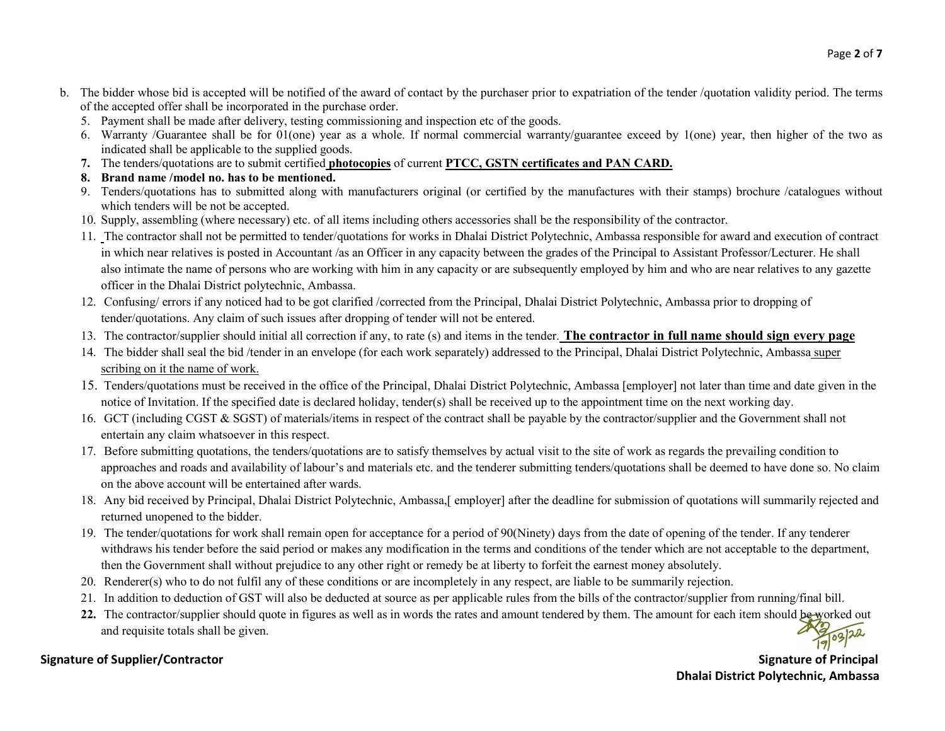- b. The bidder whose bid is accepted will be notified of the award of contact by the purchaser prior to expatriation of the tender /quotation validity period. The terms of the accepted offer shall be incorporated in the purchase order.
	- 5. Payment shall be made after delivery, testing commissioning and inspection etc of the goods.
	- 6. Warranty /Guarantee shall be for 01(one) year as a whole. If normal commercial warranty/guarantee exceed by 1(one) year, then higher of the two as indicated shall be applicable to the supplied goods.
	- 7. The tenders/quotations are to submit certified photocopies of current PTCC, GSTN certificates and PAN CARD.
	- 8. Brand name /model no. has to be mentioned.
	- 9. Tenders/quotations has to submitted along with manufacturers original (or certified by the manufactures with their stamps) brochure /catalogues without which tenders will be not be accepted.
	- 10. Supply, assembling (where necessary) etc. of all items including others accessories shall be the responsibility of the contractor.
	- 11. The contractor shall not be permitted to tender/quotations for works in Dhalai District Polytechnic, Ambassa responsible for award and execution of contract in which near relatives is posted in Accountant /as an Officer in any capacity between the grades of the Principal to Assistant Professor/Lecturer. He shall also intimate the name of persons who are working with him in any capacity or are subsequently employed by him and who are near relatives to any gazette officer in the Dhalai District polytechnic, Ambassa.
	- 12. Confusing/ errors if any noticed had to be got clarified /corrected from the Principal, Dhalai District Polytechnic, Ambassa prior to dropping of tender/quotations. Any claim of such issues after dropping of tender will not be entered.
	- 13. The contractor/supplier should initial all correction if any, to rate (s) and items in the tender. The contractor in full name should sign every page
	- 14. The bidder shall seal the bid /tender in an envelope (for each work separately) addressed to the Principal, Dhalai District Polytechnic, Ambassa super scribing on it the name of work.
	- 15. Tenders/quotations must be received in the office of the Principal, Dhalai District Polytechnic, Ambassa [employer] not later than time and date given in the notice of Invitation. If the specified date is declared holiday, tender(s) shall be received up to the appointment time on the next working day.
	- 16. GCT (including CGST & SGST) of materials/items in respect of the contract shall be payable by the contractor/supplier and the Government shall not entertain any claim whatsoever in this respect.
	- 17. Before submitting quotations, the tenders/quotations are to satisfy themselves by actual visit to the site of work as regards the prevailing condition to approaches and roads and availability of labour's and materials etc. and the tenderer submitting tenders/quotations shall be deemed to have done so. No claim on the above account will be entertained after wards.
	- 18. Any bid received by Principal, Dhalai District Polytechnic, Ambassa, [employer] after the deadline for submission of quotations will summarily rejected and returned unopened to the bidder.
	- 19. The tender/quotations for work shall remain open for acceptance for a period of 90(Ninety) days from the date of opening of the tender. If any tenderer withdraws his tender before the said period or makes any modification in the terms and conditions of the tender which are not acceptable to the department, then the Government shall without prejudice to any other right or remedy be at liberty to forfeit the earnest money absolutely.
	- 20. Renderer(s) who to do not fulfil any of these conditions or are incompletely in any respect, are liable to be summarily rejection.
	- 21. In addition to deduction of GST will also be deducted at source as per applicable rules from the bills of the contractor/supplier from running/final bill.
	- 22. The contractor/supplier should quote in figures as well as in words the rates and amount tendered by them. The amount for each item should be worked out and requisite totals shall be given.

# Signature of Supplier/Contractor Supplier/Contractor Signature of Principal Signature of Principal Signature of Principal Signature of Principal Signature of Principal Signature of Principal Signature of Principal Signatur

# Dhalai District Polytechnic, Ambassa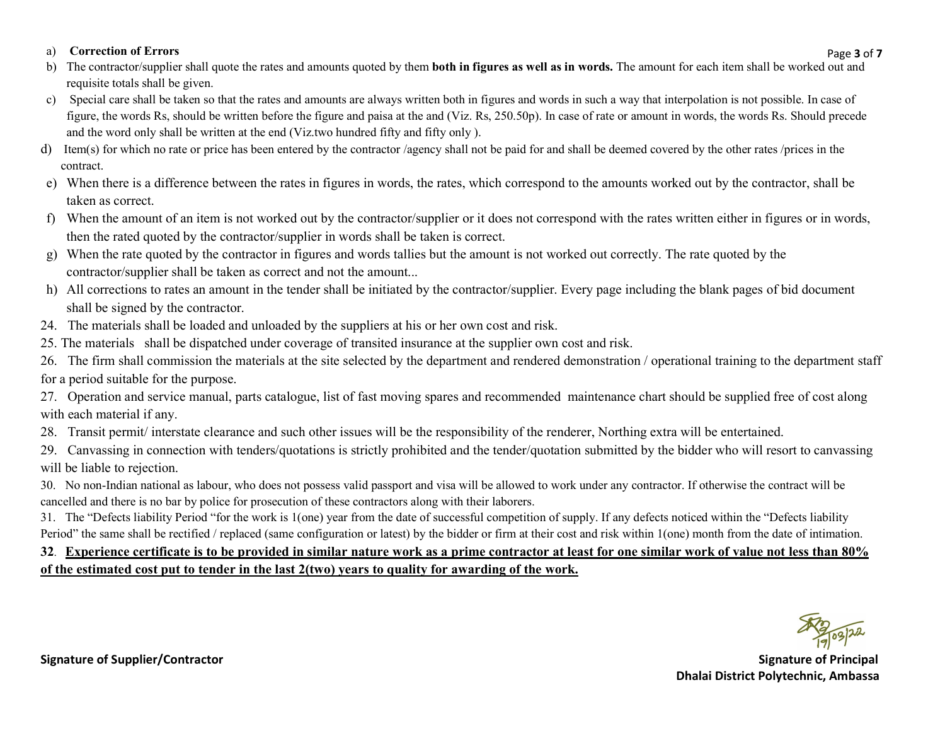### a) Correction of Errors

- Page **3** of **7** b) The contractor/supplier shall quote the rates and amounts quoted by them **both in figures as well as in words.** The amount for each item shall be worked out and requisite totals shall be given.
- c) Special care shall be taken so that the rates and amounts are always written both in figures and words in such a way that interpolation is not possible. In case of figure, the words Rs, should be written before the figure and paisa at the and (Viz. Rs, 250.50p). In case of rate or amount in words, the words Rs. Should precede and the word only shall be written at the end (Viz.two hundred fifty and fifty only ).
- d) Item(s) for which no rate or price has been entered by the contractor /agency shall not be paid for and shall be deemed covered by the other rates /prices in the contract.
- e) When there is a difference between the rates in figures in words, the rates, which correspond to the amounts worked out by the contractor, shall be taken as correct.
- f) When the amount of an item is not worked out by the contractor/supplier or it does not correspond with the rates written either in figures or in words, then the rated quoted by the contractor/supplier in words shall be taken is correct.
- g) When the rate quoted by the contractor in figures and words tallies but the amount is not worked out correctly. The rate quoted by the contractor/supplier shall be taken as correct and not the amount...
- h) All corrections to rates an amount in the tender shall be initiated by the contractor/supplier. Every page including the blank pages of bid document shall be signed by the contractor.
- 24. The materials shall be loaded and unloaded by the suppliers at his or her own cost and risk.
- 25. The materials shall be dispatched under coverage of transited insurance at the supplier own cost and risk.
- 26. The firm shall commission the materials at the site selected by the department and rendered demonstration / operational training to the department staff for a period suitable for the purpose.
- 27. Operation and service manual, parts catalogue, list of fast moving spares and recommended maintenance chart should be supplied free of cost along with each material if any.
- 28. Transit permit/ interstate clearance and such other issues will be the responsibility of the renderer, Northing extra will be entertained.
- 29. Canvassing in connection with tenders/quotations is strictly prohibited and the tender/quotation submitted by the bidder who will resort to canvassing will be liable to rejection.
- 30. No non-Indian national as labour, who does not possess valid passport and visa will be allowed to work under any contractor. If otherwise the contract will be cancelled and there is no bar by police for prosecution of these contractors along with their laborers.
- 31. The "Defects liability Period "for the work is 1(one) year from the date of successful competition of supply. If any defects noticed within the "Defects liability Period" the same shall be rectified / replaced (same configuration or latest) by the bidder or firm at their cost and risk within 1(one) month from the date of intimation.

# 32. Experience certificate is to be provided in similar nature work as a prime contractor at least for one similar work of value not less than 80% of the estimated cost put to tender in the last 2(two) years to quality for awarding of the work.

Signature of Supplier/Contractor Supplier of Principal Signature of Principal Signature of Principal Signature of Principal Signature of Principal Signature of Principal Signature of Principal Signature of Principal Signat Dhalai District Polytechnic, Ambassa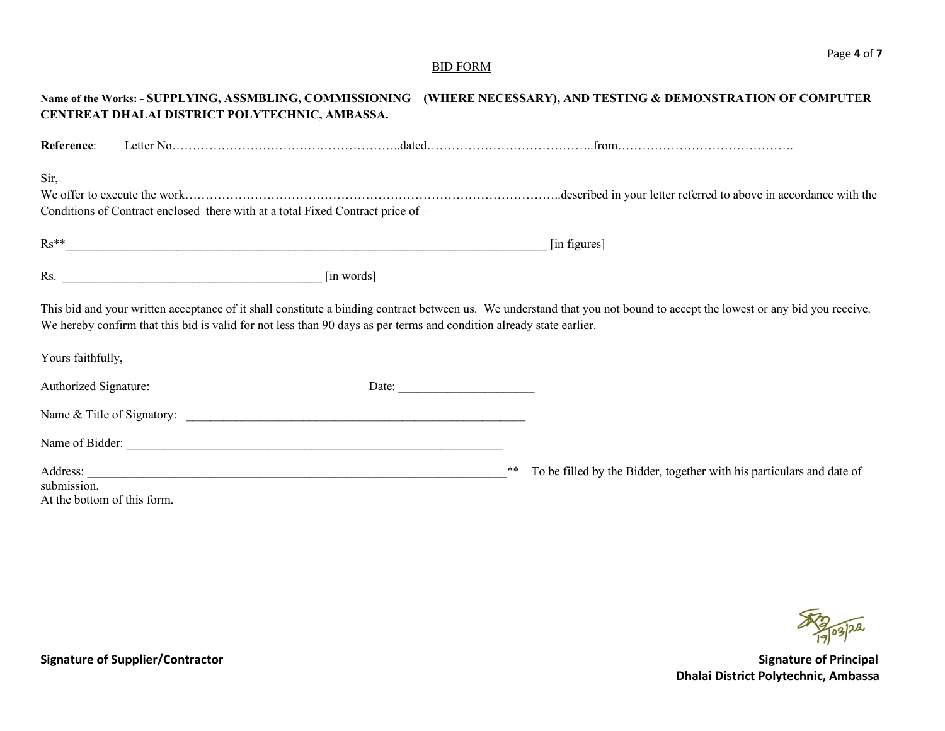# BID FORM

| Name of the Works: - SUPPLYING, ASSMBLING, COMMISSIONING (WHERE NECESSARY), AND TESTING & DEMONSTRATION OF COMPUTER                                                                                                                                                                                                |
|--------------------------------------------------------------------------------------------------------------------------------------------------------------------------------------------------------------------------------------------------------------------------------------------------------------------|
|                                                                                                                                                                                                                                                                                                                    |
|                                                                                                                                                                                                                                                                                                                    |
|                                                                                                                                                                                                                                                                                                                    |
| $\mathbf{Rs^{**}}$<br>[in figures]                                                                                                                                                                                                                                                                                 |
|                                                                                                                                                                                                                                                                                                                    |
| This bid and your written acceptance of it shall constitute a binding contract between us. We understand that you not bound to accept the lowest or any bid you receive.<br>We hereby confirm that this bid is valid for not less than 90 days as per terms and condition already state earlier.                   |
|                                                                                                                                                                                                                                                                                                                    |
| Date:                                                                                                                                                                                                                                                                                                              |
|                                                                                                                                                                                                                                                                                                                    |
|                                                                                                                                                                                                                                                                                                                    |
| Address: <u>New York: Address:</u> New York: New York: New York: New York: New York: New York: New York: New York: New York: New York: New York: New York: New York: New York: New York: New York: New York: New York: New York: Ne<br>To be filled by the Bidder, together with his particulars and date of<br>** |
|                                                                                                                                                                                                                                                                                                                    |

R 2 03/22

Signature of Supplier/Contractor and Signature of Principal Dhalai District Polytechnic, Ambassa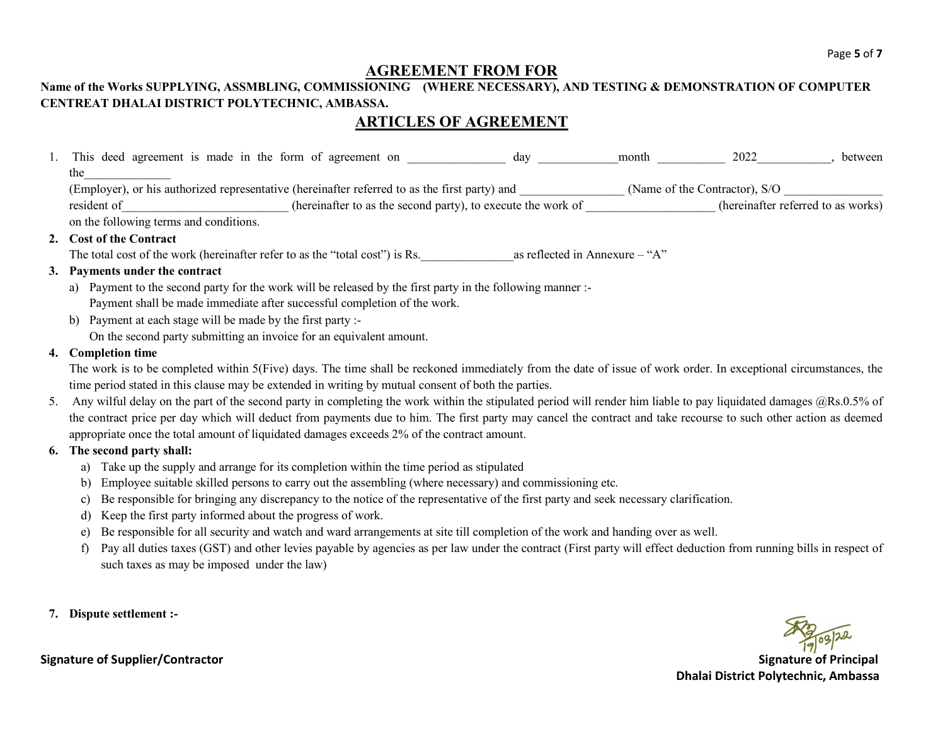# AGREEMENT FROM FOR

# Name of the Works SUPPLYING, ASSMBLING, COMMISSIONING (WHERE NECESSARY), AND TESTING & DEMONSTRATION OF COMPUTER CENTREAT DHALAI DISTRICT POLYTECHNIC, AMBASSA.

# ARTICLES OF AGREEMENT

|    | This deed agreement is made in the form of agreement on                                                                                                           | day | month                          | 2022 | between |
|----|-------------------------------------------------------------------------------------------------------------------------------------------------------------------|-----|--------------------------------|------|---------|
|    | the                                                                                                                                                               |     |                                |      |         |
|    | (Employer), or his authorized representative (hereinafter referred to as the first party) and _______________(Name of the Contractor), S/O                        |     |                                |      |         |
|    | (hereinafter to as the second party), to execute the work of (hereinafter referred to as works)<br>resident of                                                    |     |                                |      |         |
|    | on the following terms and conditions.                                                                                                                            |     |                                |      |         |
|    | 2. Cost of the Contract                                                                                                                                           |     |                                |      |         |
|    | The total cost of the work (hereinafter refer to as the "total cost") is Rs.                                                                                      |     | as reflected in Annexure – "A" |      |         |
|    | 3. Payments under the contract                                                                                                                                    |     |                                |      |         |
|    | Payment to the second party for the work will be released by the first party in the following manner :-<br>a)                                                     |     |                                |      |         |
|    | Payment shall be made immediate after successful completion of the work.                                                                                          |     |                                |      |         |
|    | Payment at each stage will be made by the first party :-<br>b)                                                                                                    |     |                                |      |         |
|    | On the second party submitting an invoice for an equivalent amount.                                                                                               |     |                                |      |         |
|    | 4. Completion time                                                                                                                                                |     |                                |      |         |
|    | The work is to be completed within 5(Five) days. The time shall be reckoned immediately from the date of issue of work order. In exceptional circumstances, the   |     |                                |      |         |
|    | time period stated in this clause may be extended in writing by mutual consent of both the parties.                                                               |     |                                |      |         |
| 5. | Any wilful delay on the part of the second party in completing the work within the stipulated period will render him liable to pay liquidated damages @Rs.0.5% of |     |                                |      |         |
|    |                                                                                                                                                                   |     |                                |      |         |
|    | the contract price per day which will deduct from payments due to him. The first party may cancel the contract and take recourse to such other action as deemed   |     |                                |      |         |
|    | appropriate once the total amount of liquidated damages exceeds 2% of the contract amount.                                                                        |     |                                |      |         |
|    | 6. The second party shall:                                                                                                                                        |     |                                |      |         |
|    | Take up the supply and arrange for its completion within the time period as stipulated<br>a)                                                                      |     |                                |      |         |
|    | Employee suitable skilled persons to carry out the assembling (where necessary) and commissioning etc.<br>b)                                                      |     |                                |      |         |
|    | Be responsible for bringing any discrepancy to the notice of the representative of the first party and seek necessary clarification.<br>C)                        |     |                                |      |         |
|    | Keep the first party informed about the progress of work.                                                                                                         |     |                                |      |         |
|    | Be responsible for all security and watch and ward arrangements at site till completion of the work and handing over as well.<br>e)                               |     |                                |      |         |
|    |                                                                                                                                                                   |     |                                |      |         |

- f) Pay all duties taxes (GST) and other levies payable by agencies as per law under the contract (First party will effect deduction from running bills in respect of such taxes as may be imposed under the law)
- 7. Dispute settlement :-



Signature of Supplier/Contractor and Signature of Principal Dhalai District Polytechnic, Ambassa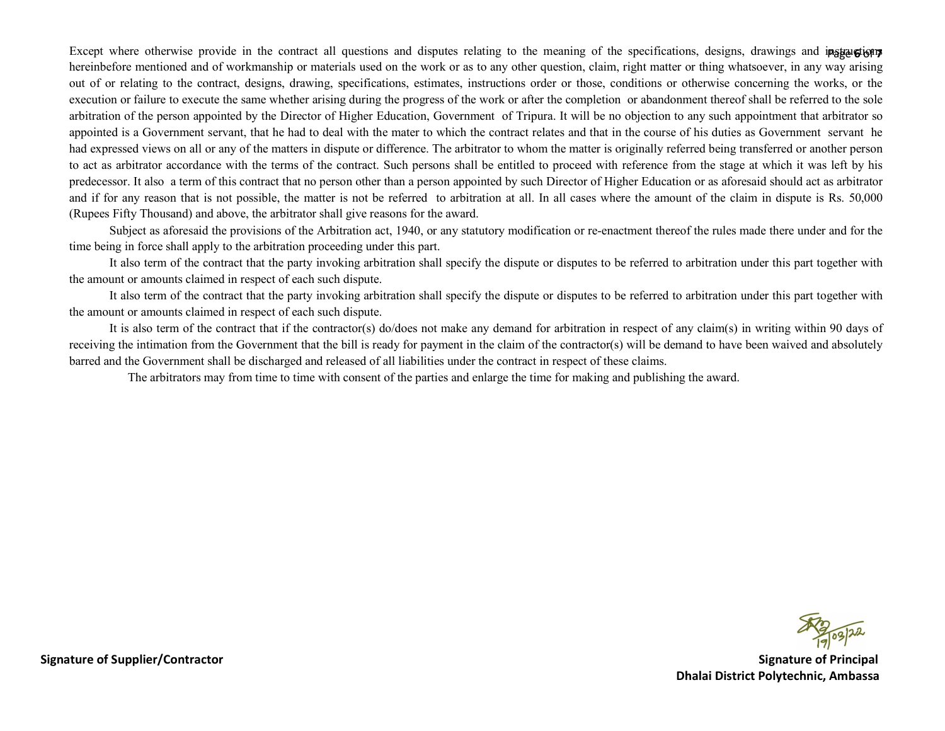Except where otherwise provide in the contract all questions and disputes relating to the meaning of the specifications, designs, drawings and instructions hereinbefore mentioned and of workmanship or materials used on the work or as to any other question, claim, right matter or thing whatsoever, in any way arising out of or relating to the contract, designs, drawing, specifications, estimates, instructions order or those, conditions or otherwise concerning the works, or the execution or failure to execute the same whether arising during the progress of the work or after the completion or abandonment thereof shall be referred to the sole arbitration of the person appointed by the Director of Higher Education, Government of Tripura. It will be no objection to any such appointment that arbitrator so appointed is a Government servant, that he had to deal with the mater to which the contract relates and that in the course of his duties as Government servant he had expressed views on all or any of the matters in dispute or difference. The arbitrator to whom the matter is originally referred being transferred or another person to act as arbitrator accordance with the terms of the contract. Such persons shall be entitled to proceed with reference from the stage at which it was left by his predecessor. It also a term of this contract that no person other than a person appointed by such Director of Higher Education or as aforesaid should act as arbitrator and if for any reason that is not possible, the matter is not be referred to arbitration at all. In all cases where the amount of the claim in dispute is Rs. 50,000 (Rupees Fifty Thousand) and above, the arbitrator shall give reasons for the award.

 Subject as aforesaid the provisions of the Arbitration act, 1940, or any statutory modification or re-enactment thereof the rules made there under and for the time being in force shall apply to the arbitration proceeding under this part.

 It also term of the contract that the party invoking arbitration shall specify the dispute or disputes to be referred to arbitration under this part together with the amount or amounts claimed in respect of each such dispute.

 It also term of the contract that the party invoking arbitration shall specify the dispute or disputes to be referred to arbitration under this part together with the amount or amounts claimed in respect of each such dispute.

 It is also term of the contract that if the contractor(s) do/does not make any demand for arbitration in respect of any claim(s) in writing within 90 days of receiving the intimation from the Government that the bill is ready for payment in the claim of the contractor(s) will be demand to have been waived and absolutely barred and the Government shall be discharged and released of all liabilities under the contract in respect of these claims.

The arbitrators may from time to time with consent of the parties and enlarge the time for making and publishing the award.

Signature of Supplier/Contractor Supplier/Contractor Signature of Principal Signature of Principal Signature of Principal Signature of Principal Signature of Principal Signature of Principal Signature of Principal Signatur Dhalai District Polytechnic, Ambassa